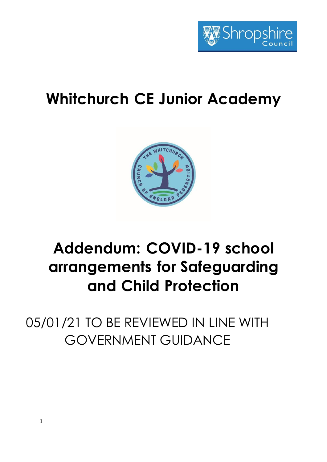

# **Whitchurch CE Junior Academy**



# **Addendum: COVID-19 school arrangements for Safeguarding and Child Protection**

05/01/21 TO BE REVIEWED IN LINE WITH GOVERNMENT GUIDANCE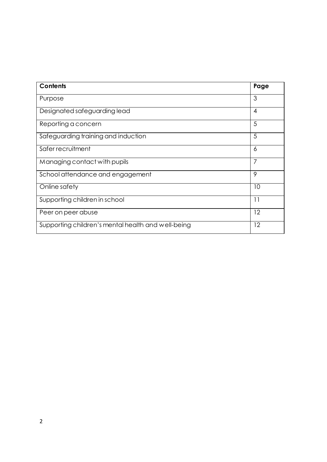| <b>Contents</b>                                    | Page |
|----------------------------------------------------|------|
| Purpose                                            | 3    |
| Designated safeguarding lead                       | 4    |
| Reporting a concern                                | 5    |
| Safeguarding training and induction                | 5    |
| Safer recruitment                                  | 6    |
| Managing contact with pupils                       | 7    |
| School attendance and engagement                   | 9    |
| Online safety                                      | 10   |
| Supporting children in school                      | 11   |
| Peer on peer abuse                                 | 12   |
| Supporting children's mental health and well-being | 12   |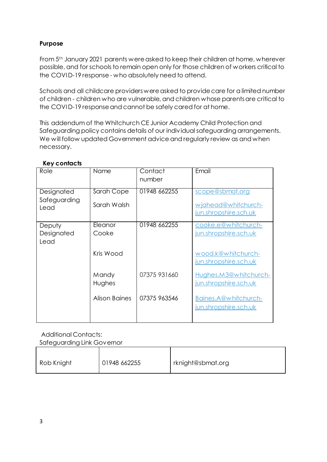# **Purpose**

From 5th January 2021 parents were asked to keep their children at home, wherever possible, and for schools to remain open only for those children of workers critical to the COVID-19 response - who absolutely need to attend.

Schools and all childcare providers were asked to provide care for a limited number of children - children who are vulnerable, and children whose parents are critical to the COVID-19 response and cannot be safely cared for at home.

This addendum of the Whitchurch CE Junior Academy Child Protection and Safeguarding policy contains details of our individual safeguarding arrangements. We will follow updated Government advice and regularly review as and when necessary.

| Role                               | Name                      | Contact<br>number | Email                                                           |
|------------------------------------|---------------------------|-------------------|-----------------------------------------------------------------|
| Designated<br>Safeguarding<br>Lead | Sarah Cope<br>Sarah Walsh | 01948 662255      | scope@sbmat.org<br>wjahead@whitchurch-<br>jun.shropshire.sch.uk |
|                                    |                           |                   |                                                                 |
| Deputy<br>Designated<br>Lead       | Eleanor<br>Cooke          | 01948 662255      | cooke.e@whitchurch-<br>jun.shropshire.sch.uk                    |
|                                    | Kris Wood                 |                   | wood.k@whitchurch-<br>jun.shropshire.sch.uk                     |
|                                    | Mandy<br>Hughes           | 07375 931660      | Hughes.M3@whitchurch-<br>jun.shropshire.sch.uk                  |
|                                    | <b>Alison Baines</b>      | 07375 963546      | Baines.A@whitchurch-<br>jun.shropshire.sch.uk                   |

# **Key contacts**

Additional Contacts: Safeguarding Link Governor

| Rob Knight | 01948 662255 | I rknight@sbmat.org |
|------------|--------------|---------------------|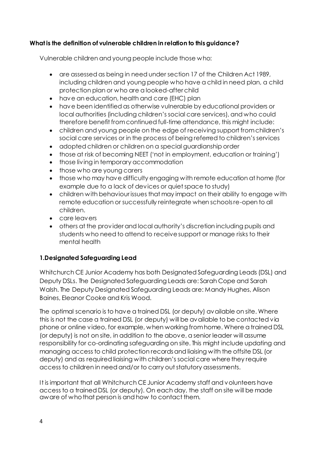# **What is the definition of vulnerable children in relation to this guidance?**

Vulnerable children and young people include those who:

- are assessed as being in need under section 17 of the Children Act 1989, including children and young people who have a child in need plan, a child protection plan or who are a looked-after child
- have an education, health and care (EHC) plan
- have been identified as otherwise vulnerable by educational providers or local authorities (including children's social care services), and who could therefore benefit from continued full-time attendance, this might include:
- children and young people on the edge of receiving support from children's social care services or in the process of being referred to children's services
- adopted children or children on a special guardianship order
- those at risk of becoming NEET ('not in employment, education or training')
- those living in temporary accommodation
- those who are young carers
- those who may have difficulty engaging with remote education at home (for example due to a lack of devices or quiet space to study)
- children with behaviour issues that may impact on their ability to engage with remote education or successfully reintegrate when schools re-open to all children.
- care leavers
- others at the provider and local authority's discretion including pupils and students who need to attend to receive support or manage risks to their mental health

# **1.Designated Safeguarding Lead**

Whitchurch CE Junior Academy has both Designated Safeguarding Leads (DSL) and Deputy DSLs. The Designated Safeguarding Leads are: Sarah Cope and Sarah Walsh. The Deputy Designated Safeguarding Leads are: Mandy Hughes, Alison Baines, Eleanor Cooke and Kris Wood.

The optimal scenario is to have a trained DSL (or deputy) available on site. Where this is not the case a trained DSL (or deputy) will be available to be contacted via phone or online video, for example, when working from home. Where a trained DSL (or deputy) is not on site, in addition to the above, a senior leader will assume responsibility for co-ordinating safeguarding on site. This might include updating and managing access to child protection records and liaising with the offsite DSL (or deputy) and as required liaising with children's social care where they require access to children in need and/or to carry out statutory assessments.

It is important that all Whitchurch CE Junior Academy staff and volunteers have access to a trained DSL (or deputy). On each day, the staff on site will be made aware of who that person is and how to contact them.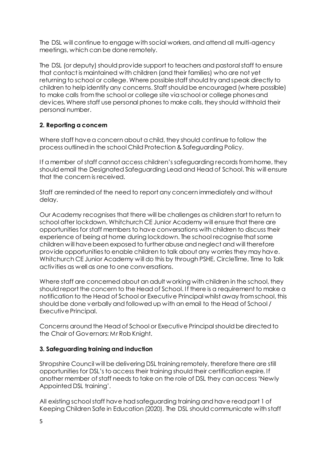The DSL will continue to engage with social workers, and attend all multi-agency meetings, which can be done remotely.

The DSL (or deputy) should provide support to teachers and pastoral staff to ensure that contact is maintained with children (and their families) who are not yet returning to school or college. Where possible staff should try and speak directly to children to help identify any concerns. Staff should be encouraged (where possible) to make calls from the school or college site via school or college phones and devices. Where staff use personal phones to make calls, they should withhold their personal number.

## **2. Reporting a concern**

Where staff have a concern about a child, they should continue to follow the process outlined in the school Child Protection & Safeguarding Policy.

If a member of staff cannot access children's safeguarding records from home, they should email the Designated Safeguarding Lead and Head of School. This will ensure that the concern is received.

Staff are reminded of the need to report any concern immediately and without delay.

Our Academy recognises that there will be challenges as children start to return to school after lockdown. Whitchurch CE Junior Academy will ensure that there are opportunities for staff members to have conversations with children to discuss their experience of being at home during lockdown. The school recognise that some children will have been exposed to further abuse and neglect and will therefore provide opportunities to enable children to talk about any worries they may have. Whitchurch CE Junior Academy will do this by through PSHE, CircleTime, Time to Talk activities as well as one to one conversations.

Where staff are concerned about an adult working with children in the school, they should report the concern to the Head of School. If there is a requirement to make a notification to the Head of School or Executive Principal whilst away from school, this should be done verbally and followed up with an email to the Head of School / Executive Principal.

Concerns around the Head of School or Executive Principal should be directed to the Chair of Governors: Mr Rob Knight.

## **3. Safeguarding training and induction**

Shropshire Council will be delivering DSL training remotely, therefore there are still opportunities for DSL's to access their training should their certification expire. If another member of staff needs to take on the role of DSL they can access 'Newly Appointed DSL training'.

All existing school staff have had safeguarding training and have read part 1 of Keeping Children Safe in Education (2020). The DSL should communicate with staff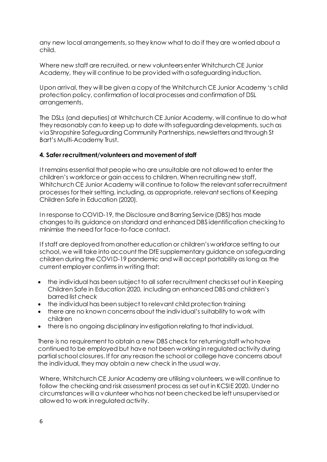any new local arrangements, so they know what to do if they are worried about a child.

Where new staff are recruited, or new volunteers enter Whitchurch CE Junior Academy, they will continue to be provided with a safeguarding induction.

Upon arrival, they will be given a copy of the Whitchurch CE Junior Academy 's child protection policy, confirmation of local processes and confirmation of DSL arrangements.

The DSLs (and deputies) at Whitchurch CE Junior Academy, will continue to do what they reasonably can to keep up to date with safeguarding developments, such as via Shropshire Safeguarding Community Partnerships, newsletters and through St Bart's Multi-Academy Trust.

#### **4. Safer recruitment/volunteers and movement of staff**

It remains essential that people who are unsuitable are not allowed to enter the children's workforce or gain access to children. When recruiting new staff, Whitchurch CE Junior Academy will continue to follow the relevant safer recruitment processes for their setting, including, as appropriate, relevant sections of Keeping Children Safe in Education (2020).

In response to COVID-19, the Disclosure and Barring Service (DBS) has made changes to its guidance on standard and enhanced DBS identification checking to minimise the need for face-to-face contact.

If staff are deployed from another education or children's workforce setting to our school, we will take into account the DfE supplementary guidance on safeguarding children during the COVID-19 pandemic and will accept portability as long as the current employer confirms in writing that:

- the individual has been subject to all safer recruitment checks set out in Keeping Children Safe in Education 2020, including an enhanced DBS and children's barred list check
- the individual has been subject to relevant child protection training
- there are no known concerns about the individual's suitability to work with children
- there is no ongoing disciplinary investigation relating to that individual.

There is no requirement to obtain a new DBS check for returning staff who have continued to be employed but have not been working in regulated activity during partial school closures. If for any reason the school or college have concerns about the individual, they may obtain a new check in the usual way.

Where, Whitchurch CE Junior Academy are utilising volunteers, we will continue to follow the checking and risk assessment process as set out in KCSIE 2020. Under no circumstances will a volunteer who has not been checked be left unsupervised or allowed to work in regulated activity.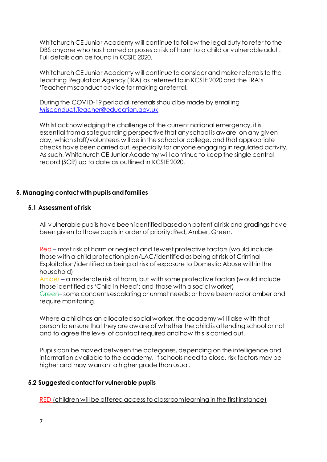Whitchurch CE Junior Academy will continue to follow the legal duty to refer to the DBS anyone who has harmed or poses a risk of harm to a child or vulnerable adult. Full details can be found in KCSIE 2020.

Whitchurch CE Junior Academy will continue to consider and make referrals to the Teaching Regulation Agency (TRA) as referred to in KCSIE 2020 and the TRA's 'Teacher misconduct advice for making a referral.

During the COVID-19 period all referrals should be made by emailing [Misconduct.Teacher@education.gov.uk](mailto:Misconduct.Teacher@education.gov.uk)

Whilst acknowledging the challenge of the current national emergency, it is essential from a safeguarding perspective that any school is aware, on any given day, which staff/volunteers will be in the school or college, and that appropriate checks have been carried out, especially for anyone engaging in regulated activity. As such, Whitchurch CE Junior Academy will continue to keep the single central record (SCR) up to date as outlined in KCSIE 2020.

## **5. Managing contact with pupils and families**

#### **5.1 Assessment of risk**

All vulnerable pupils have been identified based on potential risk and gradings have been given to those pupils in order of priority: Red, Amber, Green.

Red – most risk of harm or neglect and fewest protective factors (would include those with a child protection plan/LAC/identified as being at risk of Criminal Exploitation/identified as being at risk of exposure to Domestic Abuse within the household)

Amber – a moderate risk of harm, but with some protective factors (would include those identified as 'Child in Need'; and those with a social worker) Green– some concerns escalating or unmet needs; or have been red or amber and require monitoring.

Where a child has an allocated social worker, the academy will liaise with that person to ensure that they are aware of whether the child is attending school or not and to agree the level of contact required and how this is carried out.

Pupils can be moved between the categories, depending on the intelligence and information available to the academy. If schools need to close, risk factors may be higher and may warrant a higher grade than usual.

#### **5.2 Suggested contact for vulnerable pupils**

RED (children will be offered access to classroom learning in the first instance)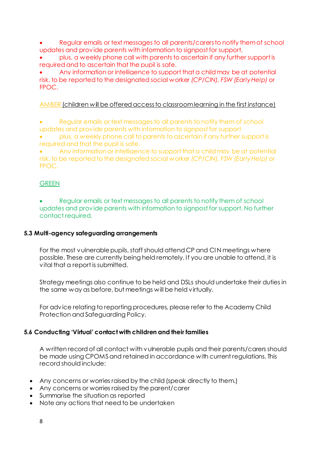- Regular emails or text messages to all parents/carers to notify them of school updates and provide parents with information to signpost for support,
- plus, a weekly phone call with parents to ascertain if any further support is required and to ascertain that the pupil is safe.

 Any information or intelligence to support that a child may be at potential risk, to be reported to the designated social worker *(CP/CIN), FSW (Early Help)* or FPOC.

## AMBER (children will be offered access to classroom learning in the first instance)

- Regular emails or text messages to all parents to notify them of school updates and provide parents with information to signpost for support
- plus, a weekly phone call to parents to ascertain if any further support is required and that the pupil is safe.

 Any information or intelligence to support that a child may be at potential risk, to be reported to the designated social worker *(CP/CIN), FSW (Early Help)* or FPOC.

## **GREEN**

 Regular emails or text messages to all parents to notify them of school updates and provide parents with information to signpost for support. No further contact required.

## **5.3 Multi-agency safeguarding arrangements**

For the most vulnerable pupils, staff should attend CP and CI N meetings where possible. These are currently being held remotely. If you are unable to attend, it is vital that a report is submitted.

Strategy meetings also continue to be held and DSLs should undertake their duties in the same way as before, but meetings will be held virtually.

For advice relating to reporting procedures, please refer to the Academy Child Protection and Safeguarding Policy.

## **5.6 Conducting 'Virtual' contact with children and their families**

A written record of all contact with vulnerable pupils and their parents/carers should be made using CPOMS and retained in accordance with current regulations. This record should include:

- Any concerns or worries raised by the child (speak directly to them.)
- Any concerns or worries raised by the parent/carer
- Summarise the situation as reported
- Note any actions that need to be undertaken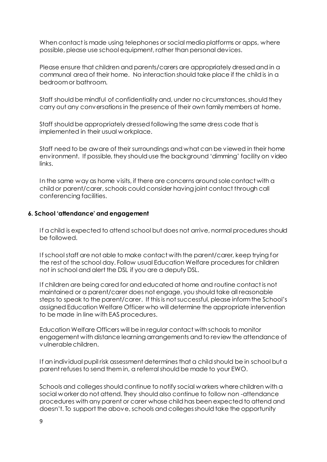When contact is made using telephones or social media platforms or apps, where possible, please use school equipment, rather than personal devices.

Please ensure that children and parents/carers are appropriately dressed and in a communal area of their home. No interaction should take place if the child is in a bedroom or bathroom.

Staff should be mindful of confidentiality and, under no circumstances, should they carry out any conversations in the presence of their own family members at home.

Staff should be appropriately dressed following the same dress code that is implemented in their usual workplace.

Staff need to be aware of their surroundings and what can be viewed in their home environment. If possible, they should use the background 'dimming' facility on video links.

In the same way as home visits, if there are concerns around sole contact with a child or parent/carer, schools could consider having joint contact through call conferencing facilities.

#### **6. School 'attendance' and engagement**

If a child is expected to attend school but does not arrive, normal procedures should be followed.

If school staff are not able to make contact with the parent/carer, keep trying for the rest of the school day. Follow usual Education Welfare procedures for children not in school and alert the DSL if you are a deputy DSL.

If children are being cared for and educated at home and routine contact is not maintained or a parent/carer does not engage, you should take all reasonable steps to speak to the parent/carer. If this is not successful, please inform the School's assigned Education Welfare Officer who will determine the appropriate intervention to be made in line with EAS procedures.

 Education Welfare Officers will be in regular contact with schools to monitor engagement with distance learning arrangements and to review the attendance of vulnerable children.

 If an individual pupil risk assessment determines that a child should be in school but a parent refuses to send them in, a referral should be made to your EWO.

Schools and colleges should continue to notify social workers where children with a social worker do not attend. They should also continue to follow non -attendance procedures with any parent or carer whose child has been expected to attend and doesn't. To support the above, schools and colleges should take the opportunity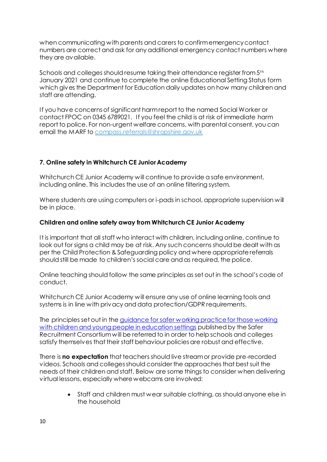when communicating with parents and carers to confirm emergency contact numbers are correct and ask for any additional emergency contact numbers where they are available.

Schools and colleges should resume taking their attendance register from 5<sup>th</sup> January 2021 and continue to complete the online Educational Setting Status form which gives the Department for Education daily updates on how many children and staff are attending.

If you have concerns of significant harm report to the named Social Worker or contact FPOC on 0345 6789021. If you feel the child is at risk of immediate harm report to police. For non-urgent welfare concerns, with parental consent, you can email the MARF t[o compass.referrals@shropshire.gov.uk](mailto:compass.referrals@shropshire.gov.uk)

# **7. Online safety in Whitchurch CE Junior Academy**

Whitchurch CE Junior Academy will continue to provide a safe environment, including online. This includes the use of an online filtering system.

Where students are using computers or i-pads in school, appropriate supervision will be in place.

## **Children and online safety away from Whitchurch CE Junior Academy**

It is important that all staff who interact with children, including online, continue to look out for signs a child may be at risk. Any such concerns should be dealt with as per the Child Protection & Safeguarding policy and where appropriate referrals should still be made to children's social care and as required, the police.

Online teaching should follow the same principles as set out in the school's code of conduct.

Whitchurch CE Junior Academy will ensure any use of online learning tools and systems is in line with privacy and data protection/GDPR requirements.

The principles set out in the [guidance for safer working practice for those working](https://www.saferrecruitmentconsortium.org/)  [with children and young people in education settings](https://www.saferrecruitmentconsortium.org/) published by the Safer Recruitment Consortium will be referred to in order to help schools and colleges satisfy themselves that their staff behaviour policies are robust and effective.

There is **no expectation** that teachers should live stream or provide pre-recorded videos. Schools and colleges should consider the approaches that best suit the needs of their children and staff. Below are some things to consider when delivering virtual lessons, especially where webcams are involved:

> Staff and children must wear suitable clothing, as should anyone else in the household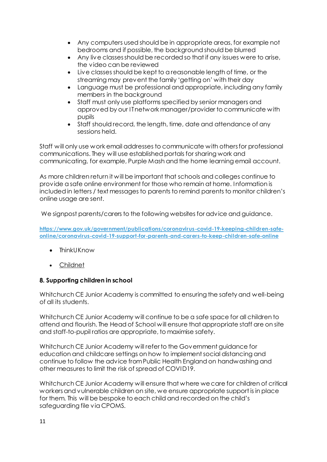- Any computers used should be in appropriate areas, for example not bedrooms and if possible, the background should be blurred
- Any live classes should be recorded so that if any issues were to arise, the video can be reviewed
- Live classes should be kept to a reasonable length of time, or the streaming may prevent the family 'getting on' with their day
- Language must be professional and appropriate, including any family members in the background
- Staff must only use platforms specified by senior managers and approved by our IT network manager/provider to communicate with pupils
- Staff should record, the length, time, date and attendance of any sessions held.

Staff will only use work email addresses to communicate with others for professional communications. They will use established portals for sharing work and communicating, for example, Purple Mash and the home learning email account.

As more children return it will be important that schools and colleges continue to provide a safe online environment for those who remain at home. Information is included in letters / text messages to parents to remind parents to monitor children's online usage are sent.

We signpost parents/carers to the following websites for advice and guidance.

**[https://www.gov.uk/government/publications/coronavirus-covid-19-keeping-children-safe](https://www.gov.uk/government/publications/coronavirus-covid-19-keeping-children-safe-online/coronavirus-covid-19-support-for-parents-and-carers-to-keep-children-safe-online)[online/coronavirus-covid-19-support-for-parents-and-carers-to-keep-children-safe-online](https://www.gov.uk/government/publications/coronavirus-covid-19-keeping-children-safe-online/coronavirus-covid-19-support-for-parents-and-carers-to-keep-children-safe-online)**

- ThinkUKnow
- [Childnet](https://www.childnet.com/parents-and-carers/parent-and-carer-toolkit)

# **8. Supporting children in school**

Whitchurch CE Junior Academy is committed to ensuring the safety and well-being of all its students.

Whitchurch CE Junior Academy will continue to be a safe space for all children to attend and flourish. The Head of School will ensure that appropriate staff are on site and staff-to-pupil ratios are appropriate, to maximise safety.

Whitchurch CE Junior Academy will refer to the Government guidance for education and childcare settings on how to implement social distancing and continue to follow the advice from Public Health England on handwashing and other measures to limit the risk of spread of COVID19.

Whitchurch CE Junior Academy will ensure that where we care for children of critical workersand vulnerable children on site, we ensure appropriate support is in place for them. This will be bespoke to each child and recorded on the child's safeguarding file via CPOMS.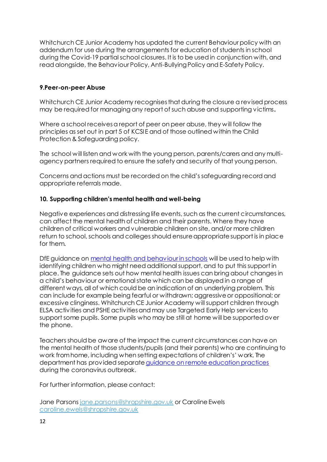Whitchurch CE Junior Academy has updated the current Behaviour policy with an addendum for use during the arrangements for education of students in school during the Covid-19 partial school closures. It is to be used in conjunction with, and read alongside, the Behaviour Policy, Anti-Bullying Policy and E-Safety Policy.

## **9.Peer-on-peer Abuse**

Whitchurch CE Junior Academy recognises that during the closure a revised process may be required for managing any report of such abuse and supporting victims**.** 

Where a school receives a report of peer on peer abuse, they will follow the principles as set out in part 5 of KCSIE and of those outlined within the Child Protection & Safeguarding policy.

The school will listen and work with the young person, parents/carers and any multiagency partners required to ensure the safety and security of that young person.

Concerns and actions must be recorded on the child's safeguarding record and appropriate referrals made.

## **10. Supporting children's mental health and well-being**

Negative experiences and distressing life events, such as the current circumstances, can affect the mental health of children and their parents. Where they have children of critical workers and vulnerable children on site, and/or more children return to school, schools and colleges should ensure appropriate support is in place for them.

DfE guidance on [mental health and behaviour in schools](https://www.gov.uk/government/publications/mental-health-and-behaviour-in-schools--2) will be used to help with identifying children who might need additional support, and to put this support in place. The guidance sets out how mental health issues can bring about changes in a child's behaviour or emotional state which can be displayed in a range of different ways, all of which could be an indication of an underlying problem. This can include for example being fearful or withdrawn; aggressive or oppositional; or excessive clinginess. Whitchurch CE Junior Academy will support children through ELSA activities and PSHE activities and may use Targeted Early Help services to support some pupils. Some pupils who may be still at home will be supported over the phone.

Teachers should be aware of the impact the current circumstances can have on the mental health of those students/pupils (and their parents) who are continuing to work fromhome, including when setting expectations of children's' work. The department has provided separat[e guidance on remote education practices](https://www.gov.uk/guidance/remote-education-practice-for-schools-during-coronavirus-covid-19) during the coronavirus outbreak.

For further information, please contact:

Jane Parson[s jane.parsons@shropshire.gov.uk](mailto:jane.parsons@shropshire.gov.uk) or Caroline Ewels [caroline.ewels@shropshire.gov.uk](mailto:caroline.ewels@shropshire.gov.uk)